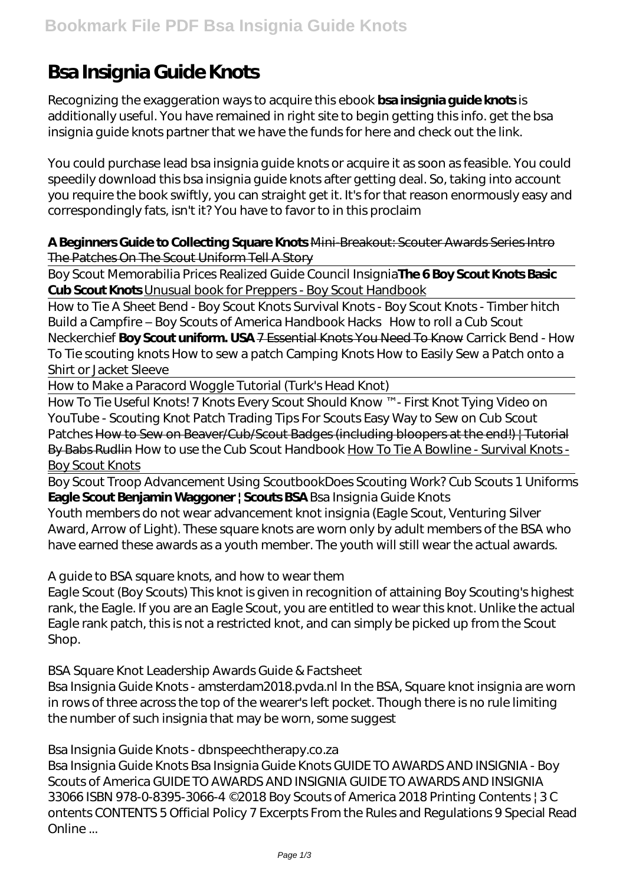# **Bsa Insignia Guide Knots**

Recognizing the exaggeration ways to acquire this ebook **bsa insignia guide knots** is additionally useful. You have remained in right site to begin getting this info. get the bsa insignia guide knots partner that we have the funds for here and check out the link.

You could purchase lead bsa insignia guide knots or acquire it as soon as feasible. You could speedily download this bsa insignia guide knots after getting deal. So, taking into account you require the book swiftly, you can straight get it. It's for that reason enormously easy and correspondingly fats, isn't it? You have to favor to in this proclaim

**A Beginners Guide to Collecting Square Knots** Mini-Breakout: Scouter Awards Series Intro The Patches On The Scout Uniform Tell A Story

Boy Scout Memorabilia Prices Realized Guide Council Insignia**The 6 Boy Scout Knots Basic Cub Scout Knots** Unusual book for Preppers - Boy Scout Handbook

How to Tie A Sheet Bend - Boy Scout Knots Survival Knots - Boy Scout Knots - Timber hitch *Build a Campfire – Boy Scouts of America Handbook Hacks* How to roll a Cub Scout Neckerchief **Boy Scout uniform. USA** 7 Essential Knots You Need To Know *Carrick Bend - How To Tie scouting knots How to sew a patch Camping Knots How to Easily Sew a Patch onto a Shirt or Jacket Sleeve*

How to Make a Paracord Woggle Tutorial (Turk's Head Knot)

How To Tie Useful Knots! 7 Knots Every Scout Should Know ™ - First Knot Tying Video on YouTube - Scouting Knot *Patch Trading Tips For Scouts* Easy Way to Sew on Cub Scout Patches How to Sew on Beaver/Cub/Scout Badges (including bloopers at the end!) | Tutorial By Babs Rudlin How to use the Cub Scout Handbook How To Tie A Bowline - Survival Knots -Boy Scout Knots

Boy Scout Troop Advancement Using Scoutbook*Does Scouting Work? Cub Scouts 1 Uniforms* **Eagle Scout Benjamin Waggoner | Scouts BSA** Bsa Insignia Guide Knots

Youth members do not wear advancement knot insignia (Eagle Scout, Venturing Silver Award, Arrow of Light). These square knots are worn only by adult members of the BSA who have earned these awards as a youth member. The youth will still wear the actual awards.

A guide to BSA square knots, and how to wear them

Eagle Scout (Boy Scouts) This knot is given in recognition of attaining Boy Scouting's highest rank, the Eagle. If you are an Eagle Scout, you are entitled to wear this knot. Unlike the actual Eagle rank patch, this is not a restricted knot, and can simply be picked up from the Scout Shop.

BSA Square Knot Leadership Awards Guide & Factsheet

Bsa Insignia Guide Knots - amsterdam2018.pvda.nl In the BSA, Square knot insignia are worn in rows of three across the top of the wearer's left pocket. Though there is no rule limiting the number of such insignia that may be worn, some suggest

Bsa Insignia Guide Knots - dbnspeechtherapy.co.za

Bsa Insignia Guide Knots Bsa Insignia Guide Knots GUIDE TO AWARDS AND INSIGNIA - Boy Scouts of America GUIDE TO AWARDS AND INSIGNIA GUIDE TO AWARDS AND INSIGNIA 33066 ISBN 978-0-8395-3066-4 ©2018 Boy Scouts of America 2018 Printing Contents | 3 C ontents CONTENTS 5 Official Policy 7 Excerpts From the Rules and Regulations 9 Special Read Online ...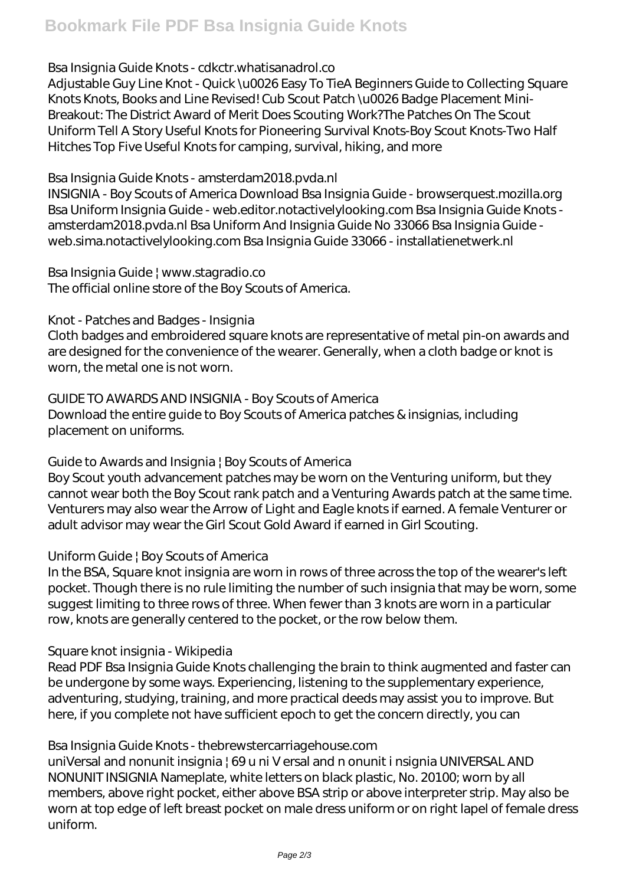# Bsa Insignia Guide Knots - cdkctr.whatisanadrol.co

Adjustable Guy Line Knot - Quick \u0026 Easy To TieA Beginners Guide to Collecting Square Knots Knots, Books and Line Revised! Cub Scout Patch \u0026 Badge Placement Mini-Breakout: The District Award of Merit Does Scouting Work?The Patches On The Scout Uniform Tell A Story Useful Knots for Pioneering Survival Knots-Boy Scout Knots-Two Half Hitches Top Five Useful Knots for camping, survival, hiking, and more

#### Bsa Insignia Guide Knots - amsterdam2018.pvda.nl

INSIGNIA - Boy Scouts of America Download Bsa Insignia Guide - browserquest.mozilla.org Bsa Uniform Insignia Guide - web.editor.notactivelylooking.com Bsa Insignia Guide Knots amsterdam2018.pvda.nl Bsa Uniform And Insignia Guide No 33066 Bsa Insignia Guide web.sima.notactivelylooking.com Bsa Insignia Guide 33066 - installatienetwerk.nl

Bsa Insignia Guide | www.stagradio.co The official online store of the Boy Scouts of America.

#### Knot - Patches and Badges - Insignia

Cloth badges and embroidered square knots are representative of metal pin-on awards and are designed for the convenience of the wearer. Generally, when a cloth badge or knot is worn, the metal one is not worn.

# GUIDE TO AWARDS AND INSIGNIA - Boy Scouts of America

Download the entire guide to Boy Scouts of America patches & insignias, including placement on uniforms.

# Guide to Awards and Insignia | Boy Scouts of America

Boy Scout youth advancement patches may be worn on the Venturing uniform, but they cannot wear both the Boy Scout rank patch and a Venturing Awards patch at the same time. Venturers may also wear the Arrow of Light and Eagle knots if earned. A female Venturer or adult advisor may wear the Girl Scout Gold Award if earned in Girl Scouting.

# Uniform Guide | Boy Scouts of America

In the BSA, Square knot insignia are worn in rows of three across the top of the wearer's left pocket. Though there is no rule limiting the number of such insignia that may be worn, some suggest limiting to three rows of three. When fewer than 3 knots are worn in a particular row, knots are generally centered to the pocket, or the row below them.

# Square knot insignia - Wikipedia

Read PDF Bsa Insignia Guide Knots challenging the brain to think augmented and faster can be undergone by some ways. Experiencing, listening to the supplementary experience, adventuring, studying, training, and more practical deeds may assist you to improve. But here, if you complete not have sufficient epoch to get the concern directly, you can

# Bsa Insignia Guide Knots - thebrewstercarriagehouse.com

uniVersal and nonunit insignia | 69 u ni V ersal and n onunit i nsignia UNIVERSAL AND NONUNIT INSIGNIA Nameplate, white letters on black plastic, No. 20100; worn by all members, above right pocket, either above BSA strip or above interpreter strip. May also be worn at top edge of left breast pocket on male dress uniform or on right lapel of female dress uniform.